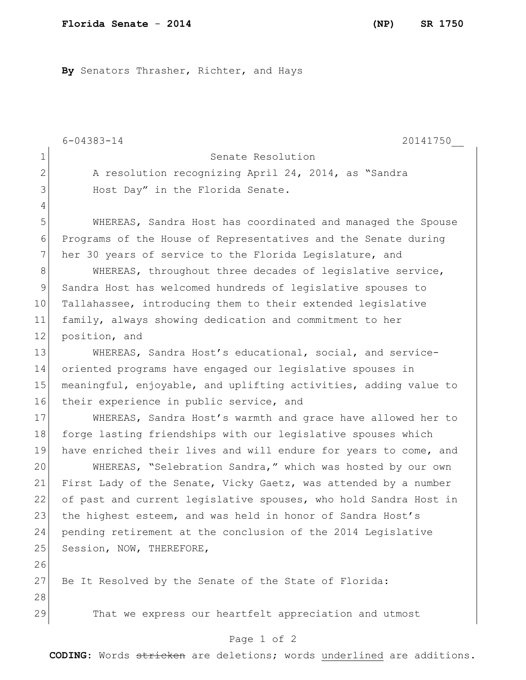**By** Senators Thrasher, Richter, and Hays

6-04383-14 20141750\_\_ 1 Senate Resolution 2 A resolution recognizing April 24, 2014, as "Sandra 3 Host Day" in the Florida Senate. 4 5 WHEREAS, Sandra Host has coordinated and managed the Spouse 6 Programs of the House of Representatives and the Senate during 7 her 30 years of service to the Florida Legislature, and 8 WHEREAS, throughout three decades of legislative service, 9 Sandra Host has welcomed hundreds of legislative spouses to 10 Tallahassee, introducing them to their extended legislative 11 family, always showing dedication and commitment to her 12 position, and 13 WHEREAS, Sandra Host's educational, social, and service-14 oriented programs have engaged our legislative spouses in 15 meaningful, enjoyable, and uplifting activities, adding value to 16 their experience in public service, and 17 WHEREAS, Sandra Host's warmth and grace have allowed her to 18 forge lasting friendships with our legislative spouses which 19 have enriched their lives and will endure for years to come, and 20 WHEREAS, "Selebration Sandra," which was hosted by our own 21 First Lady of the Senate, Vicky Gaetz, was attended by a number 22 of past and current legislative spouses, who hold Sandra Host in 23 the highest esteem, and was held in honor of Sandra Host's 24 pending retirement at the conclusion of the 2014 Legislative 25 Session, NOW, THEREFORE, 26 27 Be It Resolved by the Senate of the State of Florida: 28 29 That we express our heartfelt appreciation and utmost

## Page 1 of 2

**CODING**: Words stricken are deletions; words underlined are additions.